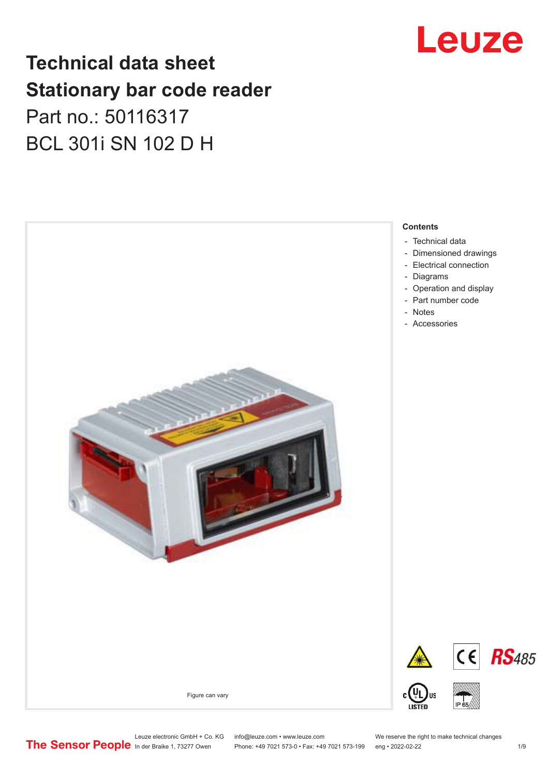## Leuze

## **Technical data sheet Stationary bar code reader** Part no.: 50116317 BCL 301i SN 102 D H



Leuze electronic GmbH + Co. KG info@leuze.com • www.leuze.com We reserve the right to make technical changes<br>
The Sensor People in der Braike 1, 73277 Owen Phone: +49 7021 573-0 • Fax: +49 7021 573-199 eng • 2022-02-22

Phone: +49 7021 573-0 • Fax: +49 7021 573-199 eng • 2022-02-22 1 /9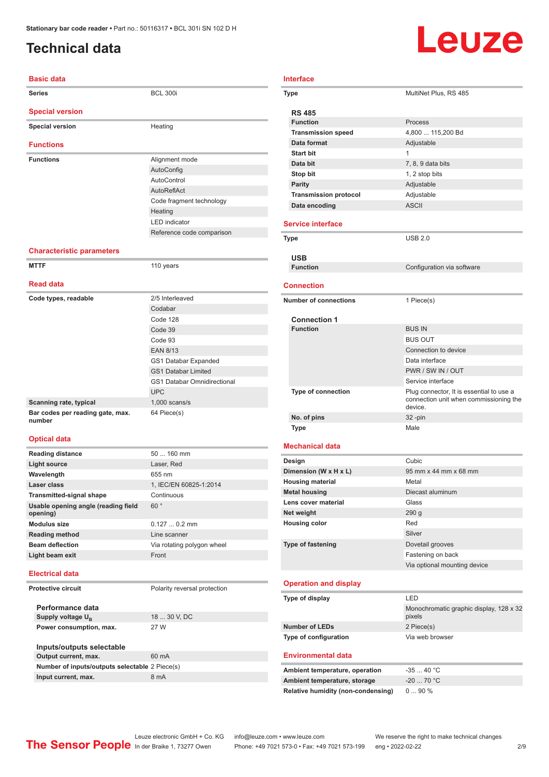### <span id="page-1-0"></span>**Technical data**

# Leuze

| <b>Basic data</b>                |                           |
|----------------------------------|---------------------------|
| <b>Series</b>                    | <b>BCL 300i</b>           |
| <b>Special version</b>           |                           |
| <b>Special version</b>           | Heating                   |
| <b>Functions</b>                 |                           |
| <b>Functions</b>                 | Alignment mode            |
|                                  | AutoConfig                |
|                                  | AutoControl               |
|                                  | AutoReflAct               |
|                                  | Code fragment technology  |
|                                  | Heating                   |
|                                  | I FD indicator            |
|                                  | Reference code comparison |
| <b>Characteristic parameters</b> |                           |
| <b>MTTF</b>                      | 110 years                 |
| <b>Read data</b>                 |                           |
| Code types, readable             | 2/5 Interleaved           |
|                                  | Codabar                   |
|                                  |                           |

| <b>Reau uala</b>                           |                                    |
|--------------------------------------------|------------------------------------|
| Code types, readable                       | 2/5 Interleaved                    |
|                                            | Codabar                            |
|                                            | Code 128                           |
|                                            | Code 39                            |
|                                            | Code 93                            |
|                                            | <b>EAN 8/13</b>                    |
|                                            | GS1 Databar Expanded               |
|                                            | <b>GS1 Databar Limited</b>         |
|                                            | <b>GS1 Databar Omnidirectional</b> |
|                                            | <b>UPC</b>                         |
| Scanning rate, typical                     | $1,000$ scans/s                    |
| Bar codes per reading gate, max.<br>number | 64 Piece(s)                        |

#### **Optical data**

| <b>Reading distance</b>                         | $50160$ mm                 |
|-------------------------------------------------|----------------------------|
| Light source                                    | Laser, Red                 |
| Wavelength                                      | 655 nm                     |
| Laser class                                     | 1, IEC/EN 60825-1:2014     |
| <b>Transmitted-signal shape</b>                 | Continuous                 |
| Usable opening angle (reading field<br>opening) | 60°                        |
| Modulus size                                    | $0.1270.2$ mm              |
| <b>Reading method</b>                           | Line scanner               |
| <b>Beam deflection</b>                          | Via rotating polygon wheel |
| Light beam exit                                 | Front                      |
|                                                 |                            |

#### **Electrical data**

**Protective circuit** Polarity reversal protection

**Performance data** Supply voltage  $U_B$ **Power consumption, max.** 27 W

| 18  30 V, DC |  |  |
|--------------|--|--|
|              |  |  |

| Inputs/outputs selectable                      |       |  |
|------------------------------------------------|-------|--|
| Output current, max.                           | 60 mA |  |
| Number of inputs/outputs selectable 2 Piece(s) |       |  |
| Input current, max.                            | 8 mA  |  |
|                                                |       |  |

| <b>Type</b>                  | MultiNet Plus, RS 485                               |
|------------------------------|-----------------------------------------------------|
| <b>RS 485</b>                |                                                     |
| <b>Function</b>              | Process                                             |
| <b>Transmission speed</b>    | 4,800  115,200 Bd                                   |
| Data format                  | Adjustable                                          |
| Start bit                    | $\mathbf{1}$                                        |
| Data bit                     | 7, 8, 9 data bits                                   |
| Stop bit                     | 1, 2 stop bits                                      |
| Parity                       | Adjustable                                          |
| <b>Transmission protocol</b> | Adjustable                                          |
| Data encoding                | <b>ASCII</b>                                        |
|                              |                                                     |
| <b>Service interface</b>     |                                                     |
| <b>Type</b>                  | <b>USB 2.0</b>                                      |
|                              |                                                     |
| <b>USB</b>                   |                                                     |
| <b>Function</b>              | Configuration via software                          |
| <b>Connection</b>            |                                                     |
|                              |                                                     |
| <b>Number of connections</b> | 1 Piece(s)                                          |
|                              |                                                     |
|                              |                                                     |
| <b>Connection 1</b>          |                                                     |
| <b>Function</b>              | <b>BUS IN</b>                                       |
|                              | <b>BUS OUT</b>                                      |
|                              | Connection to device                                |
|                              | Data interface                                      |
|                              | PWR / SW IN / OUT                                   |
|                              | Service interface                                   |
| <b>Type of connection</b>    | Plug connector, It is essential to use a<br>device. |
| No. of pins                  | connection unit when commissioning the<br>32-pin    |

#### **Mechanical data**

| Design                   | Cubic                        |
|--------------------------|------------------------------|
| Dimension (W x H x L)    | 95 mm x 44 mm x 68 mm        |
| <b>Housing material</b>  | Metal                        |
| <b>Metal housing</b>     | Diecast aluminum             |
| Lens cover material      | Glass                        |
| Net weight               | 290q                         |
| <b>Housing color</b>     | Red                          |
|                          | Silver                       |
| <b>Type of fastening</b> | Dovetail grooves             |
|                          | Fastening on back            |
|                          | Via optional mounting device |

#### **Operation and display**

| Type of display       | I FD                                              |
|-----------------------|---------------------------------------------------|
|                       | Monochromatic graphic display, 128 x 32<br>pixels |
| <b>Number of LEDs</b> | 2 Piece(s)                                        |
| Type of configuration | Via web browser                                   |

#### **Environmental data**

| Ambient temperature, operation     | $-3540 °C$  |
|------------------------------------|-------------|
| Ambient temperature, storage       | $-20$ 70 °C |
| Relative humidity (non-condensing) | $090\%$     |

Leuze electronic GmbH + Co. KG info@leuze.com • www.leuze.com We reserve the right to make technical changes<br>
The Sensor People in der Braike 1, 73277 Owen Phone: +49 7021 573-0 • Fax: +49 7021 573-199 eng • 2022-02-22 Phone: +49 7021 573-0 • Fax: +49 7021 573-199 eng • 2022-02-22 2 2 /9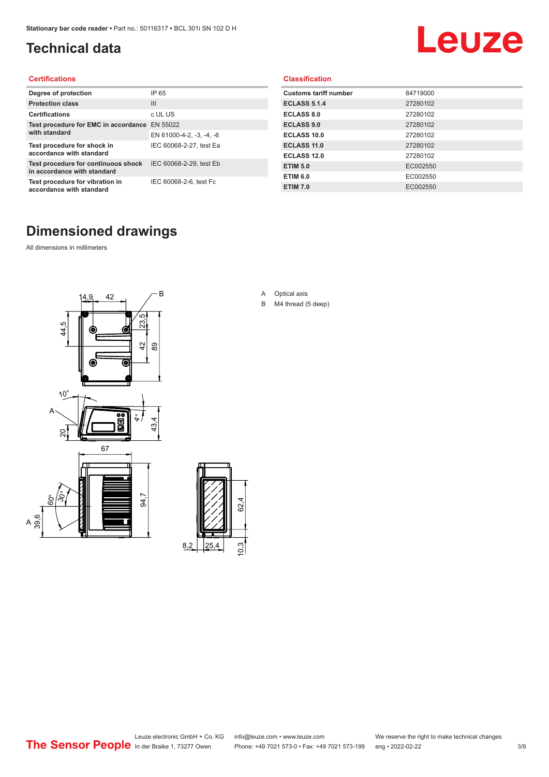### <span id="page-2-0"></span>**Technical data**

## Leuze

#### **Certifications**

| Degree of protection                                               | IP 65                    |
|--------------------------------------------------------------------|--------------------------|
| <b>Protection class</b>                                            | $\mathbf{III}$           |
| <b>Certifications</b>                                              | c UL US                  |
| Test procedure for EMC in accordance<br>with standard              | EN 55022                 |
|                                                                    | EN 61000-4-2, -3, -4, -6 |
| Test procedure for shock in<br>accordance with standard            | IEC 60068-2-27, test Ea  |
| Test procedure for continuous shock<br>in accordance with standard | IEC 60068-2-29, test Eb  |
| Test procedure for vibration in<br>accordance with standard        | IEC 60068-2-6, test Fc   |

#### **Classification**

| <b>Customs tariff number</b> | 84719000 |
|------------------------------|----------|
| <b>ECLASS 5.1.4</b>          | 27280102 |
| <b>ECLASS 8.0</b>            | 27280102 |
| <b>ECLASS 9.0</b>            | 27280102 |
| ECLASS 10.0                  | 27280102 |
| <b>ECLASS 11.0</b>           | 27280102 |
| ECLASS 12.0                  | 27280102 |
| <b>ETIM 5.0</b>              | EC002550 |
| <b>ETIM 6.0</b>              | EC002550 |
| <b>ETIM 7.0</b>              | EC002550 |

### **Dimensioned drawings**

All dimensions in millimeters

 $\overline{A}$ 





- A Optical axis
- B M4 thread (5 deep)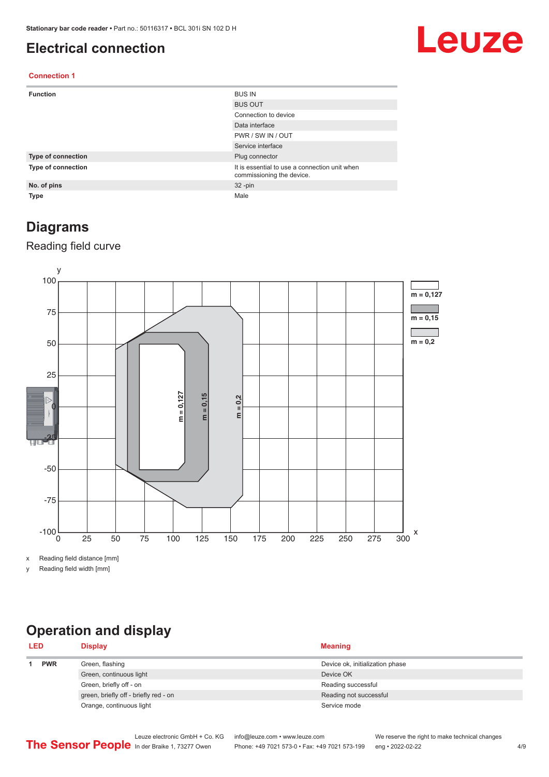#### <span id="page-3-0"></span>**Electrical connection**

## Leuze

#### **Connection 1**

| <b>Function</b>    | <b>BUS IN</b>                                                              |
|--------------------|----------------------------------------------------------------------------|
|                    | <b>BUS OUT</b>                                                             |
|                    | Connection to device                                                       |
|                    | Data interface                                                             |
|                    | PWR / SW IN / OUT                                                          |
|                    | Service interface                                                          |
| Type of connection | Plug connector                                                             |
| Type of connection | It is essential to use a connection unit when<br>commissioning the device. |
| No. of pins        | $32 - pin$                                                                 |
| <b>Type</b>        | Male                                                                       |

#### **Diagrams**

#### Reading field curve



x Reading field distance [mm]

y Reading field width [mm]

## **Operation and display**

| <b>LED</b> |            | <b>Display</b>                        | <b>Meaning</b>                  |
|------------|------------|---------------------------------------|---------------------------------|
|            | <b>PWR</b> | Green, flashing                       | Device ok, initialization phase |
|            |            | Green, continuous light               | Device OK                       |
|            |            | Green, briefly off - on               | Reading successful              |
|            |            | green, briefly off - briefly red - on | Reading not successful          |
|            |            | Orange, continuous light              | Service mode                    |
|            |            |                                       |                                 |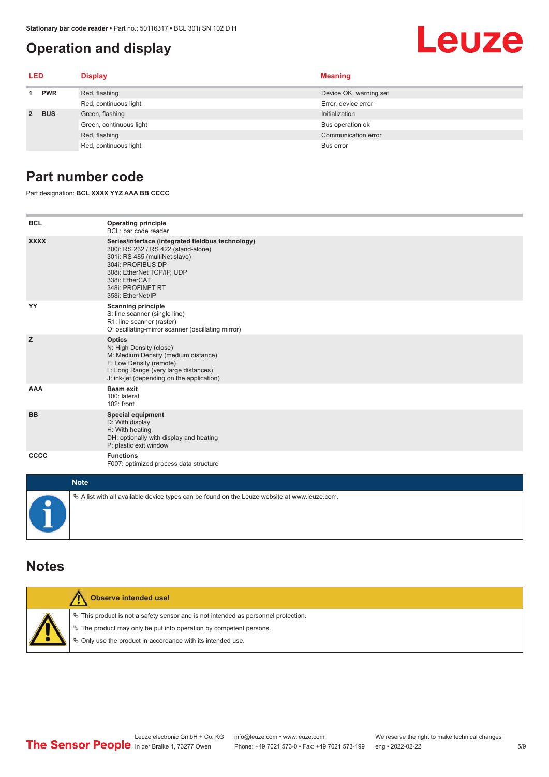#### <span id="page-4-0"></span>**Operation and display**

#### **LED Display Meaning 1 PWR** Red, flashing **Device OK, warning set** Device OK, warning set Red, continuous light Error, device error **2 BUS** Green, flashing **Initialization** Initialization Green, continuous light Bus operation of Bus operation of Bus operation of Bus operation of Red, flashing Communication error communication error communication error communication error Red, continuous light Bus error

#### **Part number code**

Part designation: **BCL XXXX YYZ AAA BB CCCC**

| <b>BCL</b>   | <b>Operating principle</b><br>BCL: bar code reader                                                                                                                                                                                       |
|--------------|------------------------------------------------------------------------------------------------------------------------------------------------------------------------------------------------------------------------------------------|
| <b>XXXX</b>  | Series/interface (integrated fieldbus technology)<br>300i: RS 232 / RS 422 (stand-alone)<br>301i: RS 485 (multiNet slave)<br>304i: PROFIBUS DP<br>308i: EtherNet TCP/IP, UDP<br>338i: EtherCAT<br>348i: PROFINET RT<br>358i: EtherNet/IP |
| YY           | <b>Scanning principle</b><br>S: line scanner (single line)<br>R1: line scanner (raster)<br>O: oscillating-mirror scanner (oscillating mirror)                                                                                            |
| z            | <b>Optics</b><br>N: High Density (close)<br>M: Medium Density (medium distance)<br>F: Low Density (remote)<br>L: Long Range (very large distances)<br>J: ink-jet (depending on the application)                                          |
| <b>AAA</b>   | <b>Beam exit</b><br>100: lateral<br>102: front                                                                                                                                                                                           |
| <b>BB</b>    | <b>Special equipment</b><br>D: With display<br>H: With heating<br>DH: optionally with display and heating<br>P: plastic exit window                                                                                                      |
| <b>CCCC</b>  | <b>Functions</b><br>F007: optimized process data structure                                                                                                                                                                               |
| <b>Ninth</b> |                                                                                                                                                                                                                                          |

| <b>Note</b>                                                                                       |  |  |  |
|---------------------------------------------------------------------------------------------------|--|--|--|
| $\psi$ A list with all available device types can be found on the Leuze website at www.leuze.com. |  |  |  |

#### **Notes**

| Observe intended use!                                                                                                                                                                                                      |
|----------------------------------------------------------------------------------------------------------------------------------------------------------------------------------------------------------------------------|
| $\%$ This product is not a safety sensor and is not intended as personnel protection.<br>₹ The product may only be put into operation by competent persons.<br>♦ Only use the product in accordance with its intended use. |

Leuze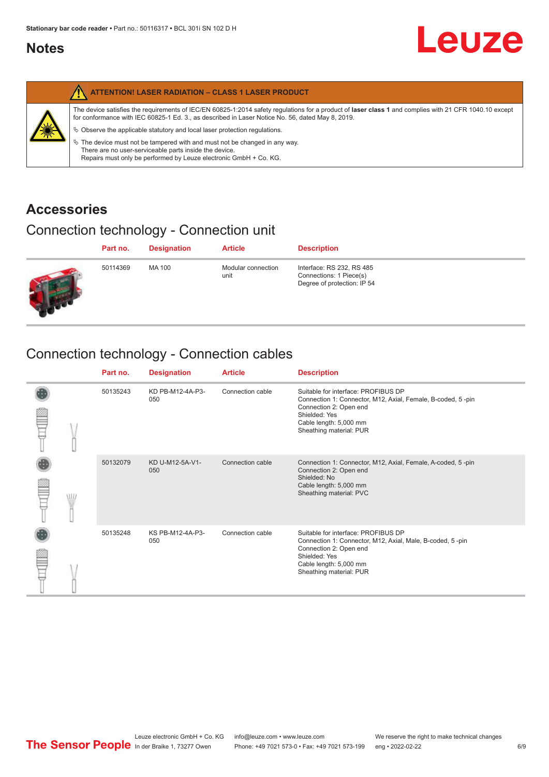#### <span id="page-5-0"></span>**Notes**

|   | <b>ATTENTION! LASER RADIATION - CLASS 1 LASER PRODUCT</b>                                                                                                                                                                                                                                                                                                                                                                                                                                                                                                   |
|---|-------------------------------------------------------------------------------------------------------------------------------------------------------------------------------------------------------------------------------------------------------------------------------------------------------------------------------------------------------------------------------------------------------------------------------------------------------------------------------------------------------------------------------------------------------------|
| 纂 | The device satisfies the requirements of IEC/EN 60825-1:2014 safety regulations for a product of laser class 1 and complies with 21 CFR 1040.10 except<br>for conformance with IEC 60825-1 Ed. 3., as described in Laser Notice No. 56, dated May 8, 2019.<br>$\&$ Observe the applicable statutory and local laser protection regulations.<br>$\%$ The device must not be tampered with and must not be changed in any way.<br>There are no user-serviceable parts inside the device.<br>Repairs must only be performed by Leuze electronic GmbH + Co. KG. |

#### **Accessories**

### Connection technology - Connection unit

| Part no. | <b>Designation</b> | <b>Article</b>             | <b>Description</b>                                                                  |
|----------|--------------------|----------------------------|-------------------------------------------------------------------------------------|
| 50114369 | MA 100             | Modular connection<br>unit | Interface: RS 232, RS 485<br>Connections: 1 Piece(s)<br>Degree of protection: IP 54 |

## Connection technology - Connection cables

|   | Part no. | <b>Designation</b>      | <b>Article</b>   | <b>Description</b>                                                                                                                                                                                 |
|---|----------|-------------------------|------------------|----------------------------------------------------------------------------------------------------------------------------------------------------------------------------------------------------|
|   | 50135243 | KD PB-M12-4A-P3-<br>050 | Connection cable | Suitable for interface: PROFIBUS DP<br>Connection 1: Connector, M12, Axial, Female, B-coded, 5-pin<br>Connection 2: Open end<br>Shielded: Yes<br>Cable length: 5,000 mm<br>Sheathing material: PUR |
| W | 50132079 | KD U-M12-5A-V1-<br>050  | Connection cable | Connection 1: Connector, M12, Axial, Female, A-coded, 5-pin<br>Connection 2: Open end<br>Shielded: No<br>Cable length: 5,000 mm<br>Sheathing material: PVC                                         |
|   | 50135248 | KS PB-M12-4A-P3-<br>050 | Connection cable | Suitable for interface: PROFIBUS DP<br>Connection 1: Connector, M12, Axial, Male, B-coded, 5-pin<br>Connection 2: Open end<br>Shielded: Yes<br>Cable length: 5,000 mm<br>Sheathing material: PUR   |

Leuze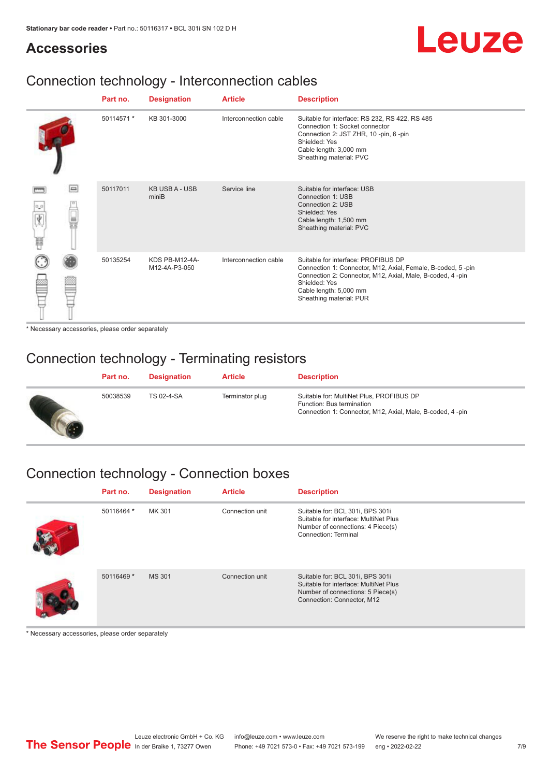## Leuze

#### **Accessories**

### Connection technology - Interconnection cables

|                       |        | Part no.   | <b>Designation</b>              | <b>Article</b>        | <b>Description</b>                                                                                                                                                                                                                    |
|-----------------------|--------|------------|---------------------------------|-----------------------|---------------------------------------------------------------------------------------------------------------------------------------------------------------------------------------------------------------------------------------|
|                       |        | 50114571 * | KB 301-3000                     | Interconnection cable | Suitable for interface: RS 232, RS 422, RS 485<br>Connection 1: Socket connector<br>Connection 2: JST ZHR, 10 -pin, 6 -pin<br>Shielded: Yes<br>Cable length: 3,000 mm<br>Sheathing material: PVC                                      |
| $\sigma^2\sigma$<br>肩 | $\Box$ | 50117011   | <b>KB USB A - USB</b><br>miniB  | Service line          | Suitable for interface: USB<br>Connection 1: USB<br>Connection 2: USB<br>Shielded: Yes<br>Cable length: 1,500 mm<br>Sheathing material: PVC                                                                                           |
|                       |        | 50135254   | KDS PB-M12-4A-<br>M12-4A-P3-050 | Interconnection cable | Suitable for interface: PROFIBUS DP<br>Connection 1: Connector, M12, Axial, Female, B-coded, 5-pin<br>Connection 2: Connector, M12, Axial, Male, B-coded, 4-pin<br>Shielded: Yes<br>Cable length: 5,000 mm<br>Sheathing material: PUR |

\* Necessary accessories, please order separately

#### Connection technology - Terminating resistors

| Part no. | <b>Designation</b> | <b>Article</b>  | <b>Description</b>                                                                                                                 |
|----------|--------------------|-----------------|------------------------------------------------------------------------------------------------------------------------------------|
| 50038539 | TS 02-4-SA         | Terminator plug | Suitable for: MultiNet Plus, PROFIBUS DP<br>Function: Bus termination<br>Connection 1: Connector, M12, Axial, Male, B-coded, 4-pin |

## Connection technology - Connection boxes

| Part no.   | <b>Designation</b> | <b>Article</b>  | <b>Description</b>                                                                                                                           |
|------------|--------------------|-----------------|----------------------------------------------------------------------------------------------------------------------------------------------|
| 50116464 * | MK 301             | Connection unit | Suitable for: BCL 301i, BPS 301i<br>Suitable for interface: MultiNet Plus<br>Number of connections: 4 Piece(s)<br>Connection: Terminal       |
| 50116469 * | <b>MS 301</b>      | Connection unit | Suitable for: BCL 301i, BPS 301i<br>Suitable for interface: MultiNet Plus<br>Number of connections: 5 Piece(s)<br>Connection: Connector, M12 |

\* Necessary accessories, please order separately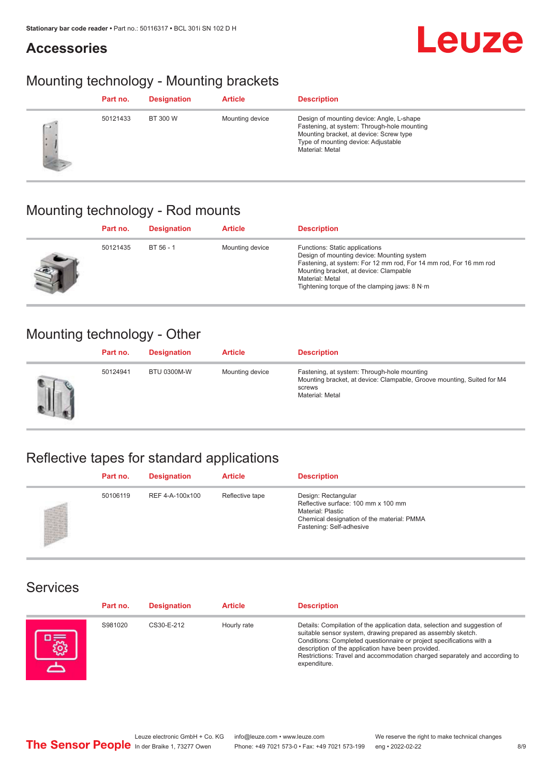#### **Accessories**



#### Mounting technology - Mounting brackets

|            | Part no. | <b>Designation</b> | <b>Article</b>  | <b>Description</b>                                                                                                                                                                            |
|------------|----------|--------------------|-----------------|-----------------------------------------------------------------------------------------------------------------------------------------------------------------------------------------------|
| <b>CON</b> | 50121433 | BT 300 W           | Mounting device | Design of mounting device: Angle, L-shape<br>Fastening, at system: Through-hole mounting<br>Mounting bracket, at device: Screw type<br>Type of mounting device: Adjustable<br>Material: Metal |

#### Mounting technology - Rod mounts

| Part no. | <b>Designation</b> | <b>Article</b>  | <b>Description</b>                                                                                                                                                                                                                                                                     |
|----------|--------------------|-----------------|----------------------------------------------------------------------------------------------------------------------------------------------------------------------------------------------------------------------------------------------------------------------------------------|
| 50121435 | BT 56 - 1          | Mounting device | Functions: Static applications<br>Design of mounting device: Mounting system<br>Fastening, at system: For 12 mm rod, For 14 mm rod, For 16 mm rod<br>Mounting bracket, at device: Clampable<br>Material: Metal<br>Tightening torque of the clamping jaws: $8 \text{ N} \cdot \text{m}$ |

#### Mounting technology - Other

|   | Part no. | <b>Designation</b> | <b>Article</b>  | <b>Description</b>                                                                                                                                 |
|---|----------|--------------------|-----------------|----------------------------------------------------------------------------------------------------------------------------------------------------|
| Ш | 50124941 | <b>BTU 0300M-W</b> | Mounting device | Fastening, at system: Through-hole mounting<br>Mounting bracket, at device: Clampable, Groove mounting, Suited for M4<br>screws<br>Material: Metal |

## Reflective tapes for standard applications

| Part no. | <b>Designation</b> | <b>Article</b>  | <b>Description</b>                                                                                                                                               |
|----------|--------------------|-----------------|------------------------------------------------------------------------------------------------------------------------------------------------------------------|
| 50106119 | REF 4-A-100x100    | Reflective tape | Design: Rectangular<br>Reflective surface: 100 mm x 100 mm<br><b>Material: Plastic</b><br>Chemical designation of the material: PMMA<br>Fastening: Self-adhesive |

#### Services

| Part no. | <b>Designation</b> | <b>Article</b> | <b>Description</b>                                                                                                                                                                                                                                                                                                                                                    |
|----------|--------------------|----------------|-----------------------------------------------------------------------------------------------------------------------------------------------------------------------------------------------------------------------------------------------------------------------------------------------------------------------------------------------------------------------|
| S981020  | CS30-E-212         | Hourly rate    | Details: Compilation of the application data, selection and suggestion of<br>suitable sensor system, drawing prepared as assembly sketch.<br>Conditions: Completed questionnaire or project specifications with a<br>description of the application have been provided.<br>Restrictions: Travel and accommodation charged separately and according to<br>expenditure. |